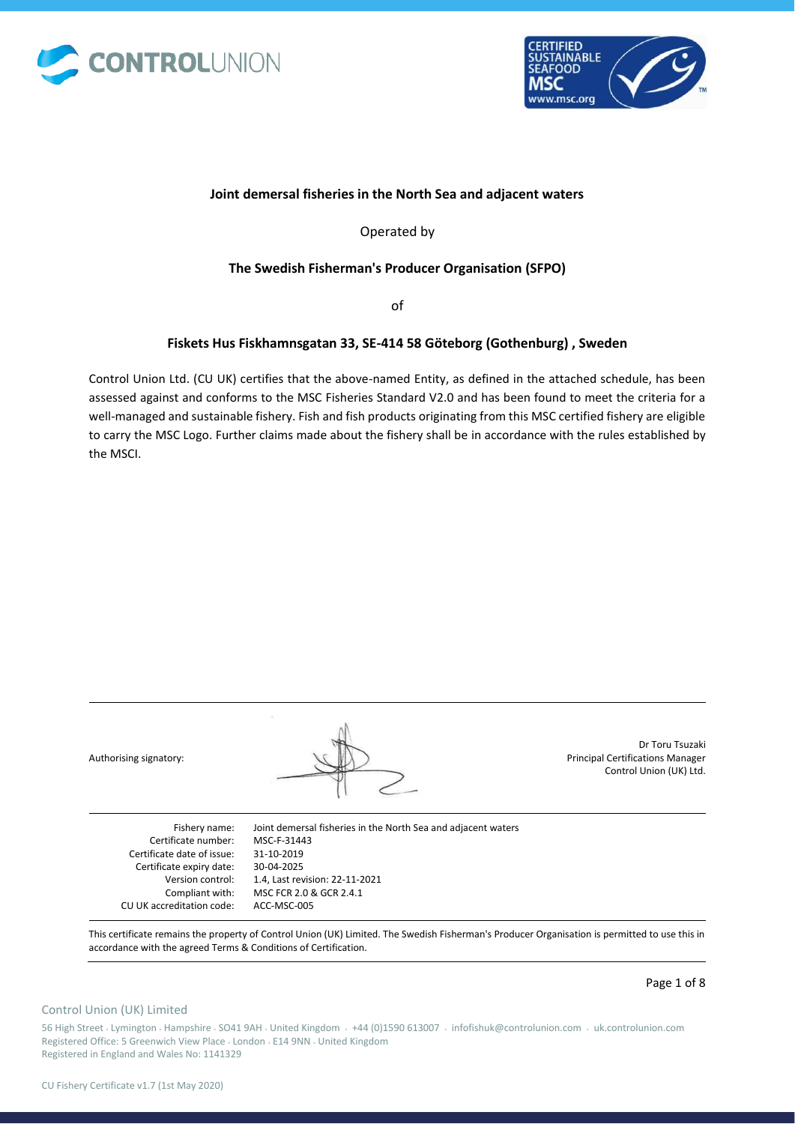



## **Joint demersal fisheries in the North Sea and adjacent waters**

Operated by

## **The Swedish Fisherman's Producer Organisation (SFPO)**

of

## **Fiskets Hus Fiskhamnsgatan 33, SE-414 58 Göteborg (Gothenburg) , Sweden**

Control Union Ltd. (CU UK) certifies that the above-named Entity, as defined in the attached schedule, has been assessed against and conforms to the MSC Fisheries Standard V2.0 and has been found to meet the criteria for a well-managed and sustainable fishery. Fish and fish products originating from this MSC certified fishery are eligible to carry the MSC Logo. Further claims made about the fishery shall be in accordance with the rules established by the MSCI.

| Authorising signatory:     |                                                               | Dr Toru Tsuzaki<br><b>Principal Certifications Manager</b><br>Control Union (UK) Ltd. |
|----------------------------|---------------------------------------------------------------|---------------------------------------------------------------------------------------|
| Fishery name:              | Joint demersal fisheries in the North Sea and adjacent waters |                                                                                       |
| Certificate number:        | MSC-F-31443                                                   |                                                                                       |
| Certificate date of issue: | 31-10-2019                                                    |                                                                                       |
| Certificate expiry date:   | 30-04-2025                                                    |                                                                                       |
| Version control:           | 1.4, Last revision: 22-11-2021                                |                                                                                       |
| Compliant with:            | MSC FCR 2.0 & GCR 2.4.1                                       |                                                                                       |
| CU UK accreditation code:  | ACC-MSC-005                                                   |                                                                                       |

This certificate remains the property of Control Union (UK) Limited. The Swedish Fisherman's Producer Organisation is permitted to use this in accordance with the agreed Terms & Conditions of Certification.

### Control Union (UK) Limited

56 High Street • Lymington • Hampshire • SO41 9AH • United Kingdom • +44 (0)1590 613007 • infofishuk@controlunion.com • uk.controlunion.com Registered Office: 5 Greenwich View Place • London • E14 9NN • United Kingdom Registered in England and Wales No: 1141329

Page 1 of 8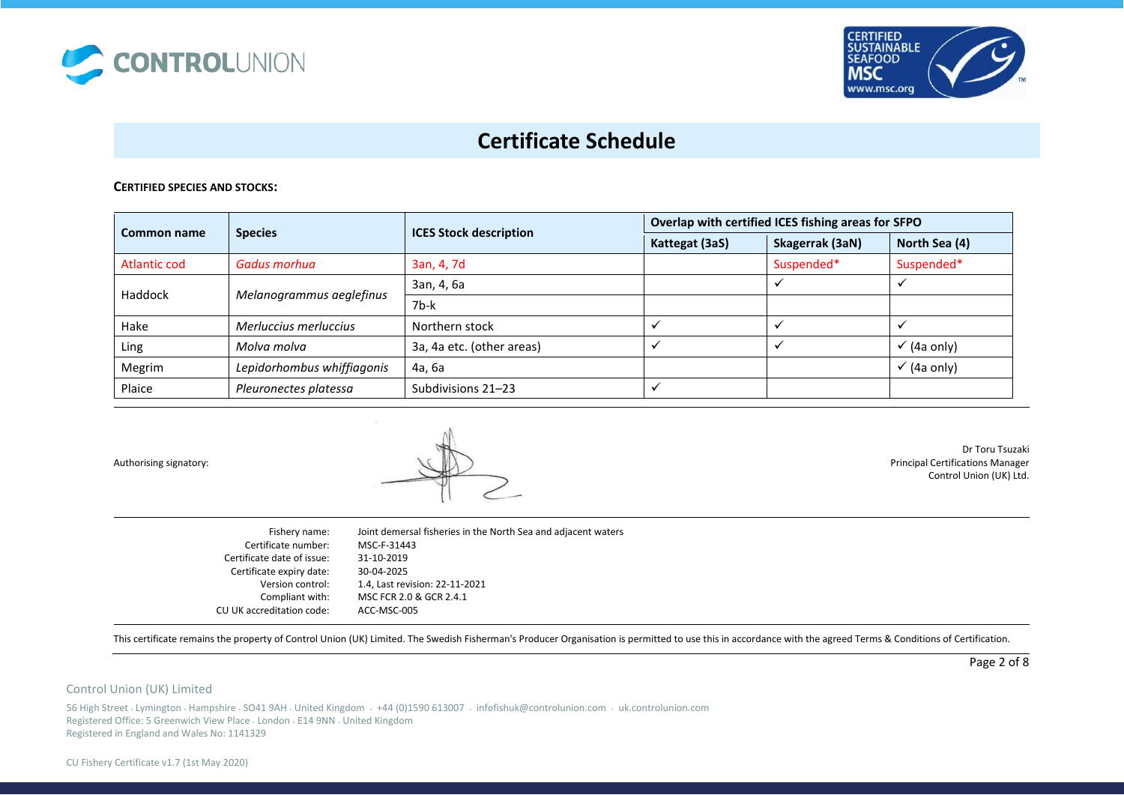



### **CERTIFIED SPECIES AND STOCKS:**

| Common name                         | <b>Species</b>             | <b>ICES Stock description</b> | Overlap with certified ICES fishing areas for SFPO |                 |                        |
|-------------------------------------|----------------------------|-------------------------------|----------------------------------------------------|-----------------|------------------------|
|                                     |                            |                               | Kattegat (3aS)                                     | Skagerrak (3aN) | North Sea (4)          |
| Atlantic cod                        | Gadus morhua               | 3an, 4, 7d                    |                                                    | Suspended*      | Suspended*             |
| Haddock<br>Melanogrammus aeglefinus | 3an, 4, 6a                 |                               |                                                    |                 |                        |
|                                     |                            | $7b-k$                        |                                                    |                 |                        |
| Hake                                | Merluccius merluccius      | Northern stock                |                                                    |                 |                        |
| Ling                                | Molva molva                | 3a, 4a etc. (other areas)     |                                                    |                 | $\checkmark$ (4a only) |
| Megrim                              | Lepidorhombus whiffiagonis | 4a, 6a                        |                                                    |                 | $\checkmark$ (4a only) |
| Plaice                              | Pleuronectes platessa      | Subdivisions 21-23            |                                                    |                 |                        |

Authorising signatory:



Dr Toru Tsuzaki Principal Certifications Manager Control Union (UK) Ltd.

Fishery name: Certificate number: Certificate date of issue: Certificate expiry date: Version control: Compliant with: CU UK accreditation code: Joint demersal fisheries in the North Sea and adjacent waters MSC-F-31443 31-10-2019 30-04-2025 1.4, Last revision: 22-11-2021 MSC FCR 2.0 & GCR 2.4.1 ACC-MSC-005

This certificate remains the property of Control Union (UK) Limited. The Swedish Fisherman's Producer Organisation is permitted to use this in accordance with the agreed Terms & Conditions of Certification.

Page 2 of 8

#### Control Union (UK) Limited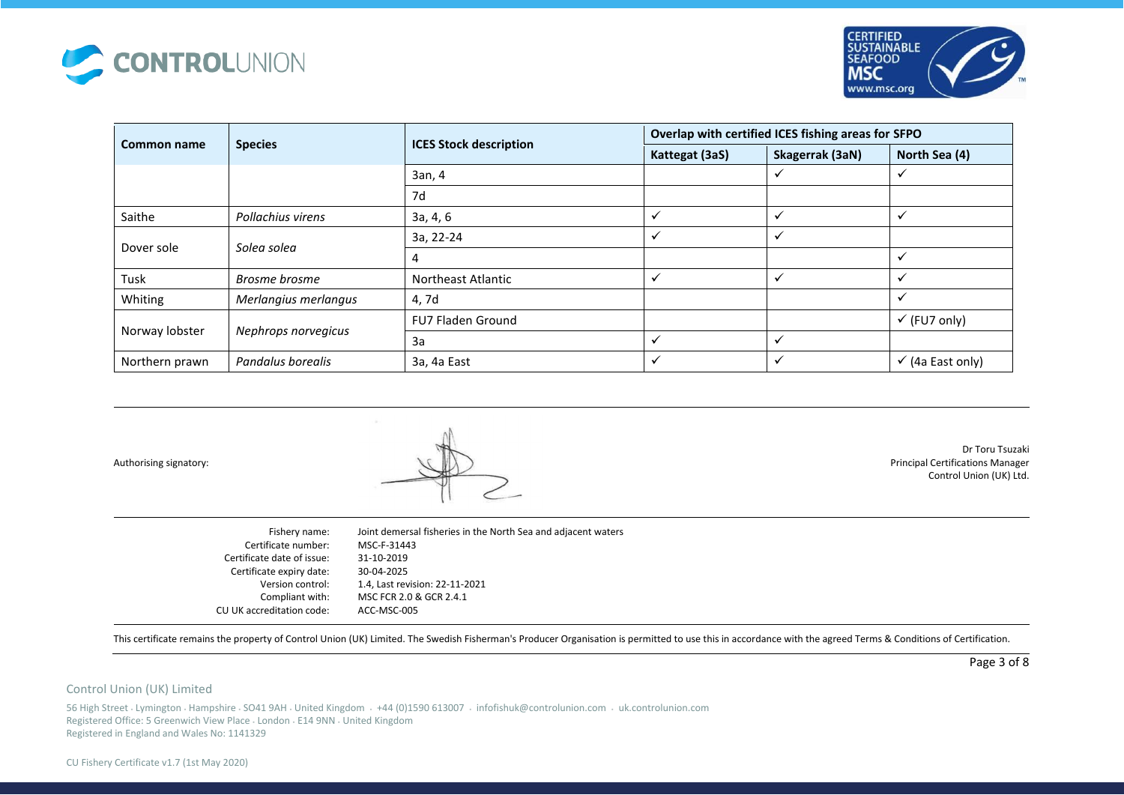



|                               |                      |                               | Overlap with certified ICES fishing areas for SFPO |                 |                             |
|-------------------------------|----------------------|-------------------------------|----------------------------------------------------|-----------------|-----------------------------|
| <b>Species</b><br>Common name |                      | <b>ICES Stock description</b> | Kattegat (3aS)                                     | Skagerrak (3aN) | North Sea (4)               |
|                               |                      | 3an, 4                        |                                                    | ✓               | ✔                           |
|                               |                      | 7d                            |                                                    |                 |                             |
| Saithe                        | Pollachius virens    | 3a, 4, 6                      | $\checkmark$                                       | $\checkmark$    | ✓                           |
|                               | Solea solea          | 3a, 22-24                     | ✓                                                  | $\checkmark$    |                             |
| Dover sole                    |                      | 4                             |                                                    |                 | $\checkmark$                |
| Tusk                          | Brosme brosme        | Northeast Atlantic            | $\checkmark$                                       | $\checkmark$    | $\checkmark$                |
| Whiting                       | Merlangius merlangus | 4, 7d                         |                                                    |                 | ✓                           |
|                               |                      | <b>FU7 Fladen Ground</b>      |                                                    |                 | $\checkmark$ (FU7 only)     |
| Norway lobster                | Nephrops norvegicus  | 3a                            |                                                    |                 |                             |
| Northern prawn                | Pandalus borealis    | 3a, 4a East                   | $\checkmark$                                       | $\checkmark$    | $\checkmark$ (4a East only) |

Authorising signatory:

Dr Toru Tsuzaki Principal Certifications Manager Control Union (UK) Ltd.

Fishery name: Certificate number: Certificate date of issue: Certificate expiry date: Version control: Compliant with: CU UK accreditation code: Joint demersal fisheries in the North Sea and adjacent waters MSC-F-31443 31-10-2019 30-04-2025 1.4, Last revision: 22-11-2021 MSC FCR 2.0 & GCR 2.4.1 ACC-MSC-005

This certificate remains the property of Control Union (UK) Limited. The Swedish Fisherman's Producer Organisation is permitted to use this in accordance with the agreed Terms & Conditions of Certification.

Page 3 of 8

#### Control Union (UK) Limited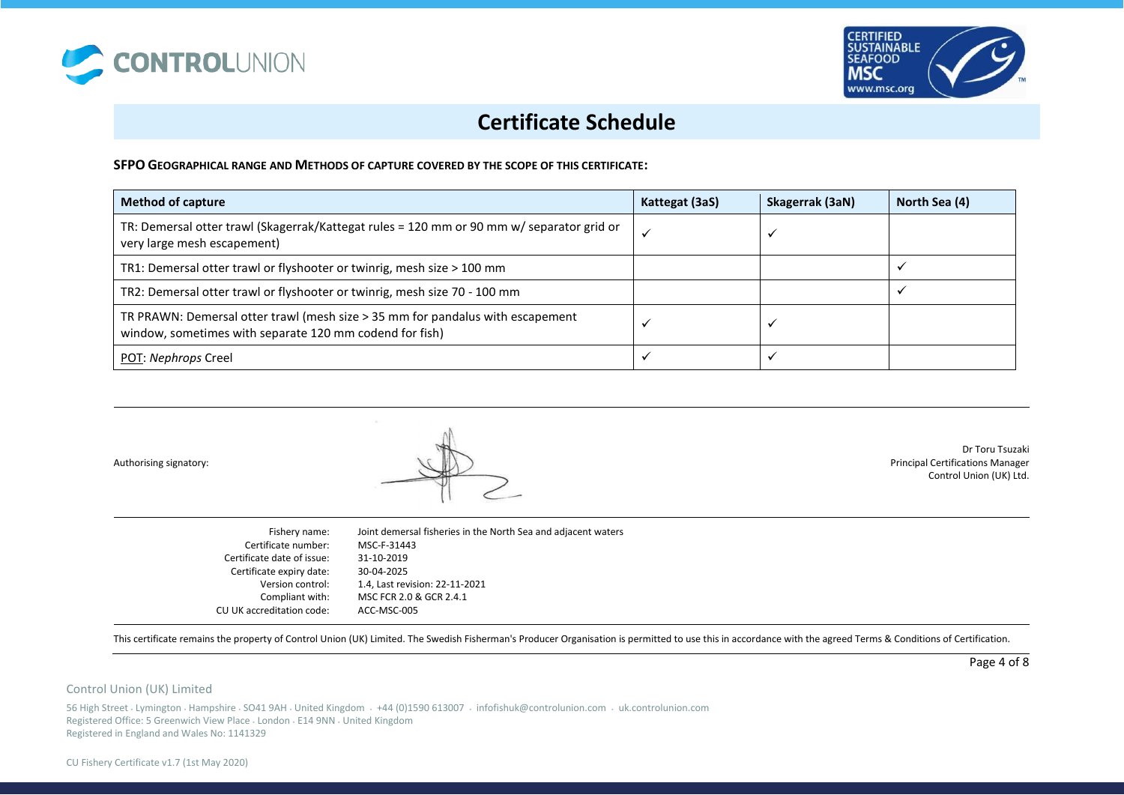



**SFPO GEOGRAPHICAL RANGE AND METHODS OF CAPTURE COVERED BY THE SCOPE OF THIS CERTIFICATE:**

| <b>Method of capture</b>                                                                                                                  | Kattegat (3aS) | Skagerrak (3aN) | North Sea (4) |
|-------------------------------------------------------------------------------------------------------------------------------------------|----------------|-----------------|---------------|
| TR: Demersal otter trawl (Skagerrak/Kattegat rules = 120 mm or 90 mm w/ separator grid or<br>very large mesh escapement)                  |                |                 |               |
| TR1: Demersal otter trawl or flyshooter or twinrig, mesh size > 100 mm                                                                    |                |                 |               |
| TR2: Demersal otter trawl or flyshooter or twinrig, mesh size 70 - 100 mm                                                                 |                |                 |               |
| TR PRAWN: Demersal otter trawl (mesh size > 35 mm for pandalus with escapement<br>window, sometimes with separate 120 mm codend for fish) |                |                 |               |
| POT: Nephrops Creel                                                                                                                       |                |                 |               |

Authorising signatory:

Dr Toru Tsuzaki Principal Certifications Manager Control Union (UK) Ltd.

Fishery name: Certificate number: Certificate date of issue: Certificate expiry date: Version control: Compliant with: CU UK accreditation code: Joint demersal fisheries in the North Sea and adjacent waters MSC-F-31443 31-10-2019 30-04-2025 1.4, Last revision: 22-11-2021 MSC FCR 2.0 & GCR 2.4.1 ACC-MSC-005

This certificate remains the property of Control Union (UK) Limited. The Swedish Fisherman's Producer Organisation is permitted to use this in accordance with the agreed Terms & Conditions of Certification.

Page 4 of 8

#### Control Union (UK) Limited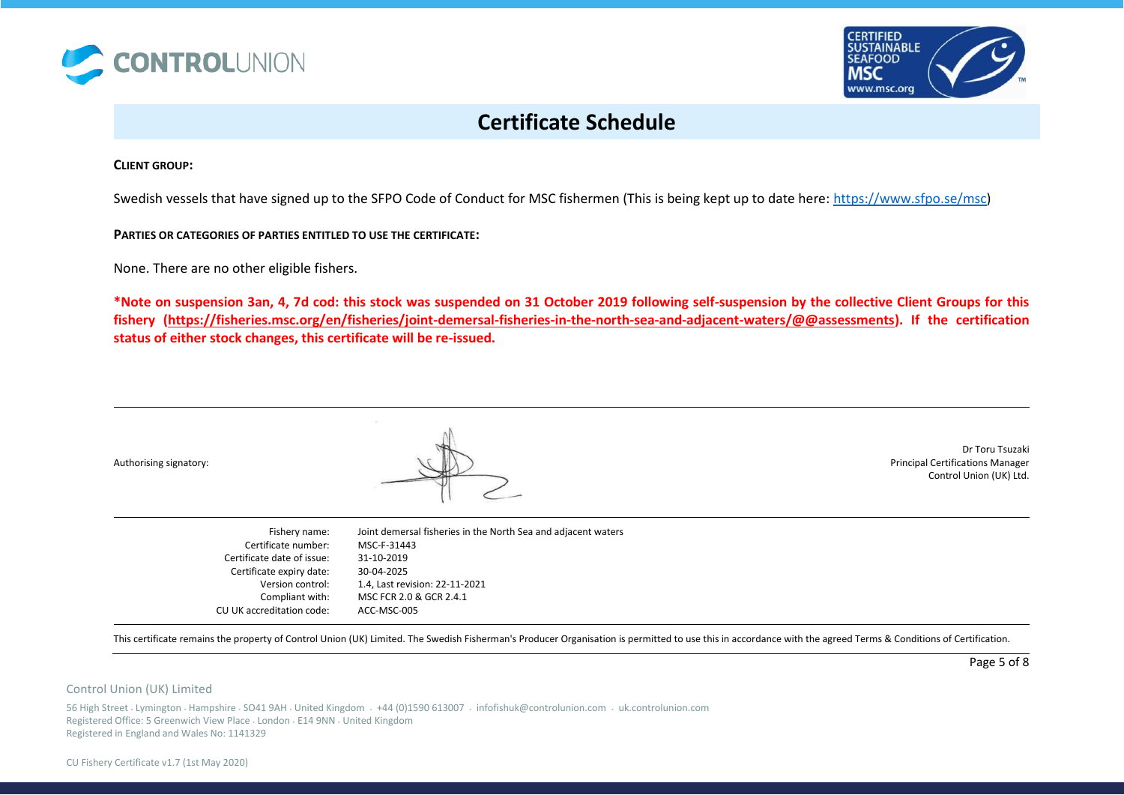



**CLIENT GROUP:** 

Swedish vessels that have signed up to the SFPO Code of Conduct for MSC fishermen (This is being kept up to date here: [https://www.sfpo.se/msc\)](https://www.sfpo.se/msc)

**PARTIES OR CATEGORIES OF PARTIES ENTITLED TO USE THE CERTIFICATE:** 

None. There are no other eligible fishers.

**\*Note on suspension 3an, 4, 7d cod: this stock was suspended on 31 October 2019 following self-suspension by the collective Client Groups for this fishery [\(https://fisheries.msc.org/en/fisheries/joint-demersal-fisheries-in-the-north-sea-and-adjacent-waters/@@assessments\)](https://fisheries.msc.org/en/fisheries/joint-demersal-fisheries-in-the-north-sea-and-adjacent-waters/@@assessments). If the certification status of either stock changes, this certificate will be re-issued.** 

Authorising signatory:



Dr Toru Tsuzaki Principal Certifications Manager Control Union (UK) Ltd.

Fishery name: Certificate number: Certificate date of issue: Certificate expiry date: Version control: Compliant with: CU UK accreditation code: Joint demersal fisheries in the North Sea and adjacent waters MSC-F-31443 31-10-2019 30-04-2025 1.4, Last revision: 22-11-2021 MSC FCR 2.0 & GCR 2.4.1 ACC-MSC-005

This certificate remains the property of Control Union (UK) Limited. The Swedish Fisherman's Producer Organisation is permitted to use this in accordance with the agreed Terms & Conditions of Certification.

Page 5 of 8

### Control Union (UK) Limited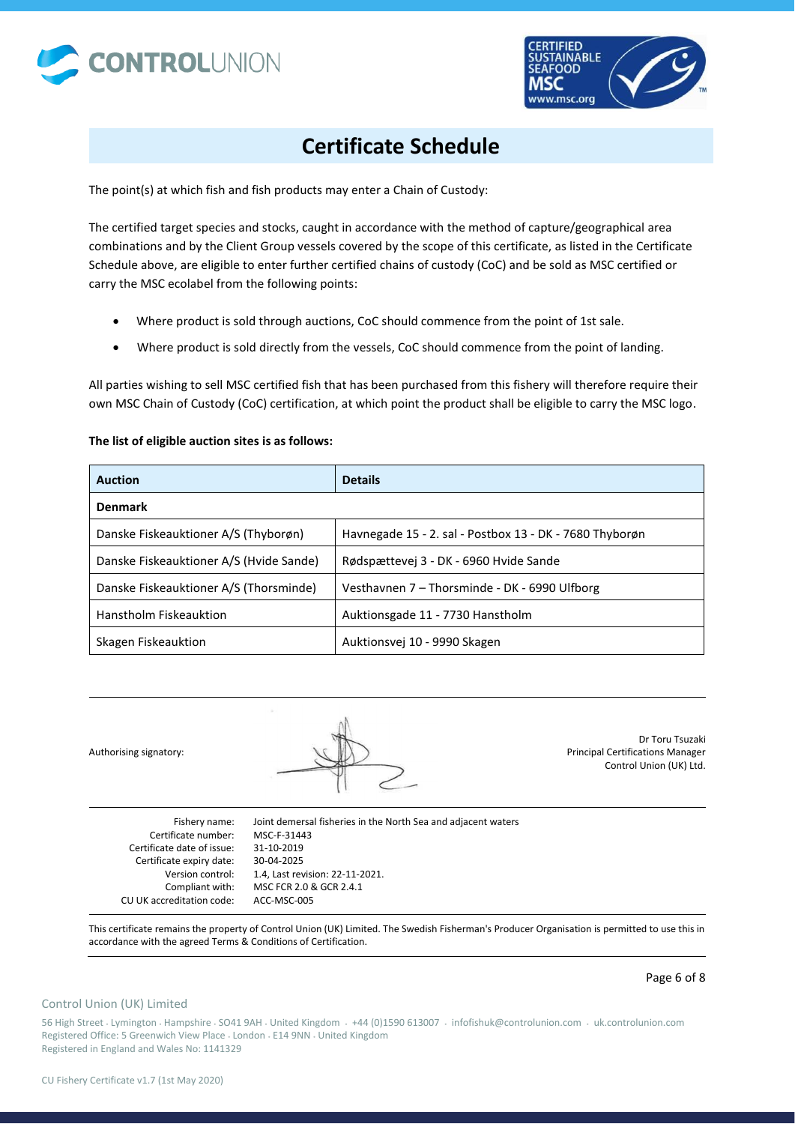



The point(s) at which fish and fish products may enter a Chain of Custody:

The certified target species and stocks, caught in accordance with the method of capture/geographical area combinations and by the Client Group vessels covered by the scope of this certificate, as listed in the Certificate Schedule above, are eligible to enter further certified chains of custody (CoC) and be sold as MSC certified or carry the MSC ecolabel from the following points:

- Where product is sold through auctions, CoC should commence from the point of 1st sale.
- Where product is sold directly from the vessels, CoC should commence from the point of landing.

All parties wishing to sell MSC certified fish that has been purchased from this fishery will therefore require their own MSC Chain of Custody (CoC) certification, at which point the product shall be eligible to carry the MSC logo.

## **The list of eligible auction sites is as follows:**

| <b>Auction</b>                          | <b>Details</b>                                          |
|-----------------------------------------|---------------------------------------------------------|
| <b>Denmark</b>                          |                                                         |
| Danske Fiskeauktioner A/S (Thyborøn)    | Havnegade 15 - 2. sal - Postbox 13 - DK - 7680 Thyborøn |
| Danske Fiskeauktioner A/S (Hvide Sande) | Rødspættevej 3 - DK - 6960 Hvide Sande                  |
| Danske Fiskeauktioner A/S (Thorsminde)  | Vesthavnen 7 - Thorsminde - DK - 6990 Ulfborg           |
| Hanstholm Fiskeauktion                  | Auktionsgade 11 - 7730 Hanstholm                        |
| Skagen Fiskeauktion                     | Auktionsvej 10 - 9990 Skagen                            |

Authorising signatory: Dr Toru Tsuzaki Principal Certifications Manager Control Union (UK) Ltd. Fishery name: Certificate number: Joint demersal fisheries in the North Sea and adjacent waters MSC-F-31443

Certificate date of issue: Certificate expiry date: Version control: Compliant with: CU UK accreditation code:

31-10-2019 30-04-2025 1.4, Last revision: 22-11-2021. MSC FCR 2.0 & GCR 2.4.1 ACC-MSC-005

This certificate remains the property of Control Union (UK) Limited. The Swedish Fisherman's Producer Organisation is permitted to use this in accordance with the agreed Terms & Conditions of Certification.

#### Page 6 of 8

## Control Union (UK) Limited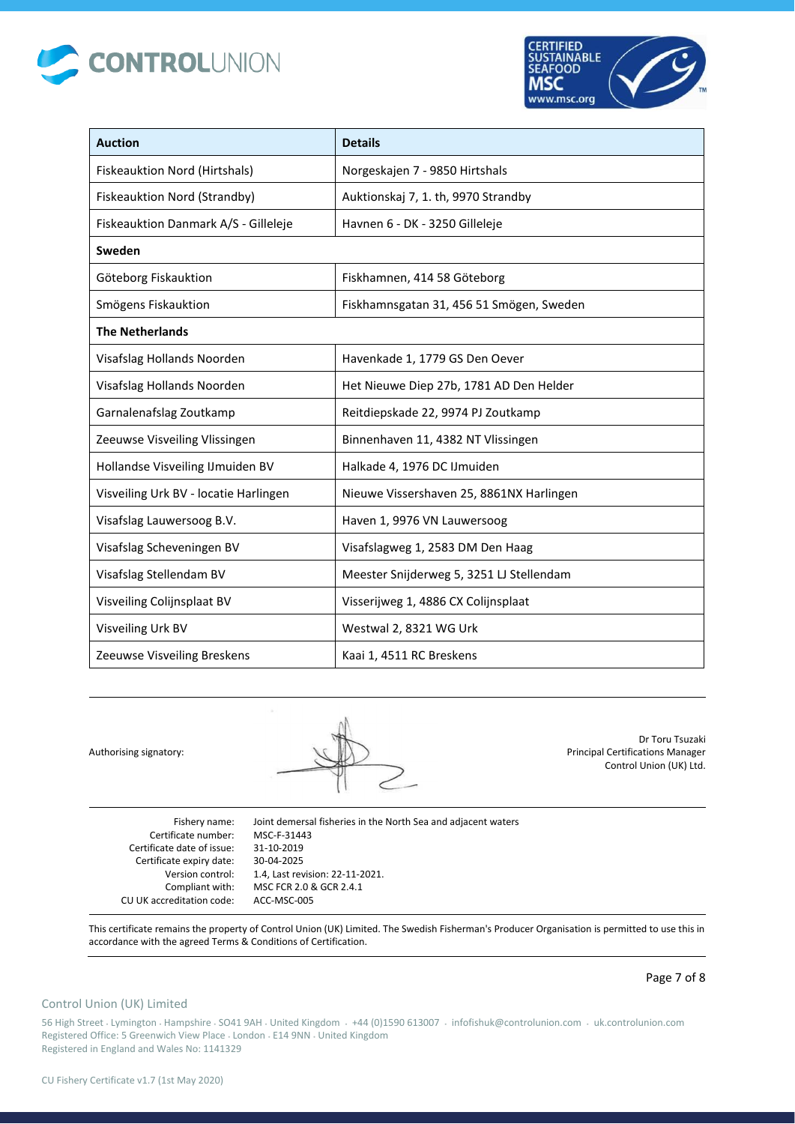



| <b>Auction</b>                        | <b>Details</b>                           |
|---------------------------------------|------------------------------------------|
| Fiskeauktion Nord (Hirtshals)         | Norgeskajen 7 - 9850 Hirtshals           |
| Fiskeauktion Nord (Strandby)          | Auktionskaj 7, 1. th, 9970 Strandby      |
| Fiskeauktion Danmark A/S - Gilleleje  | Havnen 6 - DK - 3250 Gilleleje           |
| Sweden                                |                                          |
| Göteborg Fiskauktion                  | Fiskhamnen, 414 58 Göteborg              |
| Smögens Fiskauktion                   | Fiskhamnsgatan 31, 456 51 Smögen, Sweden |
| <b>The Netherlands</b>                |                                          |
| Visafslag Hollands Noorden            | Havenkade 1, 1779 GS Den Oever           |
| Visafslag Hollands Noorden            | Het Nieuwe Diep 27b, 1781 AD Den Helder  |
| Garnalenafslag Zoutkamp               | Reitdiepskade 22, 9974 PJ Zoutkamp       |
| Zeeuwse Visveiling Vlissingen         | Binnenhaven 11, 4382 NT Vlissingen       |
| Hollandse Visveiling IJmuiden BV      | Halkade 4, 1976 DC IJmuiden              |
| Visveiling Urk BV - locatie Harlingen | Nieuwe Vissershaven 25, 8861NX Harlingen |
| Visafslag Lauwersoog B.V.             | Haven 1, 9976 VN Lauwersoog              |
| Visafslag Scheveningen BV             | Visafslagweg 1, 2583 DM Den Haag         |
| Visafslag Stellendam BV               | Meester Snijderweg 5, 3251 LJ Stellendam |
| Visveiling Colijnsplaat BV            | Visserijweg 1, 4886 CX Colijnsplaat      |
| Visveiling Urk BV                     | Westwal 2, 8321 WG Urk                   |
| Zeeuwse Visveiling Breskens           | Kaai 1, 4511 RC Breskens                 |

Authorising signatory:



Dr Toru Tsuzaki Principal Certifications Manager Control Union (UK) Ltd.

Fishery name: Certificate number: Certificate date of issue: Certificate expiry date: Version control: Compliant with: CU UK accreditation code: Joint demersal fisheries in the North Sea and adjacent waters MSC-F-31443 31-10-2019 30-04-2025 1.4, Last revision: 22-11-2021. MSC FCR 2.0 & GCR 2.4.1 ACC-MSC-005

This certificate remains the property of Control Union (UK) Limited. The Swedish Fisherman's Producer Organisation is permitted to use this in accordance with the agreed Terms & Conditions of Certification.

### Page 7 of 8

## Control Union (UK) Limited